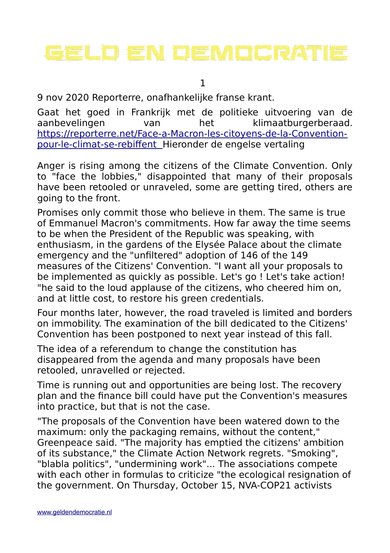# GELAD EN DEMADERATIE

1

9 nov 2020 Reporterre, onafhankelijke franse krant.

Gaat het goed in Frankrijk met de politieke uitvoering van de aanbevelingen van het klimaatburgerberaad. [https://reporterre.net/Face-a-Macron-les-citoyens-de-la-Convention](https://reporterre.net/Face-a-Macron-les-citoyens-de-la-Convention-pour-le-climat-se-rebiffent)  [pour-le-climat-se-rebiffent](https://reporterre.net/Face-a-Macron-les-citoyens-de-la-Convention-pour-le-climat-se-rebiffent) Hieronder de engelse vertaling

Anger is rising among the citizens of the Climate Convention. Only to "face the lobbies," disappointed that many of their proposals have been retooled or unraveled, some are getting tired, others are going to the front.

Promises only commit those who believe in them. The same is true of Emmanuel Macron's commitments. How far away the time seems to be when the President of the Republic was speaking, with enthusiasm, in the gardens of the Elysée Palace about the climate emergency and the "unfiltered" adoption of 146 of the 149 measures of the Citizens' Convention. "I want all your proposals to be implemented as quickly as possible. Let's go ! Let's take action! "he said to the loud applause of the citizens, who cheered him on, and at little cost, to restore his green credentials.

Four months later, however, the road traveled is limited and borders on immobility. The examination of the bill dedicated to the Citizens' Convention has been postponed to next year instead of this fall.

The idea of a referendum to change the constitution has disappeared from the agenda and many proposals have been retooled, unravelled or rejected.

Time is running out and opportunities are being lost. The recovery plan and the finance bill could have put the Convention's measures into practice, but that is not the case.

"The proposals of the Convention have been watered down to the maximum: only the packaging remains, without the content," Greenpeace said. "The majority has emptied the citizens' ambition of its substance," the Climate Action Network regrets. "Smoking", "blabla politics", "undermining work"... The associations compete with each other in formulas to criticize "the ecological resignation of the government. On Thursday, October 15, NVA-COP21 activists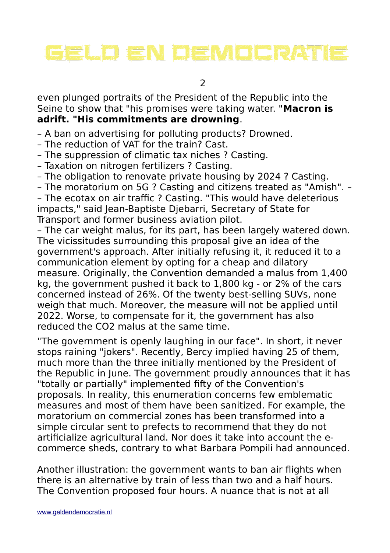# GEUD EN DEMOCRATIE

 $\overline{\phantom{0}}$ 

even plunged portraits of the President of the Republic into the Seine to show that "his promises were taking water. "**Macron is adrift. "His commitments are drowning**.

– A ban on advertising for polluting products? Drowned.

- The reduction of VAT for the train? Cast.
- The suppression of climatic tax niches ? Casting.
- Taxation on nitrogen fertilizers ? Casting.
- The obligation to renovate private housing by 2024 ? Casting.

– The moratorium on 5G ? Casting and citizens treated as "Amish". –

– The ecotax on air traffic ? Casting. "This would have deleterious impacts," said Jean-Baptiste Djebarri, Secretary of State for Transport and former business aviation pilot.

– The car weight malus, for its part, has been largely watered down. The vicissitudes surrounding this proposal give an idea of the government's approach. After initially refusing it, it reduced it to a communication element by opting for a cheap and dilatory measure. Originally, the Convention demanded a malus from 1,400 kg, the government pushed it back to 1,800 kg - or 2% of the cars concerned instead of 26%. Of the twenty best-selling SUVs, none weigh that much. Moreover, the measure will not be applied until 2022. Worse, to compensate for it, the government has also reduced the CO2 malus at the same time.

"The government is openly laughing in our face". In short, it never stops raining "jokers". Recently, Bercy implied having 25 of them, much more than the three initially mentioned by the President of the Republic in June. The government proudly announces that it has "totally or partially" implemented fifty of the Convention's proposals. In reality, this enumeration concerns few emblematic measures and most of them have been sanitized. For example, the moratorium on commercial zones has been transformed into a simple circular sent to prefects to recommend that they do not artificialize agricultural land. Nor does it take into account the ecommerce sheds, contrary to what Barbara Pompili had announced.

Another illustration: the government wants to ban air flights when there is an alternative by train of less than two and a half hours. The Convention proposed four hours. A nuance that is not at all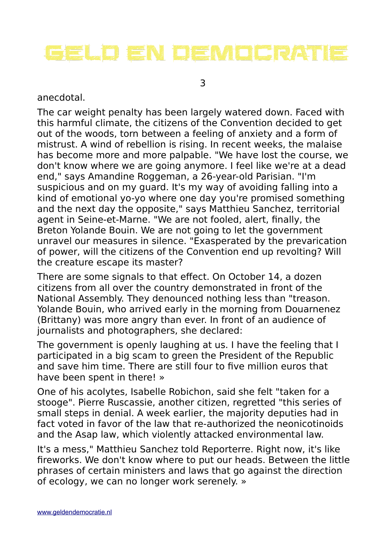# GEUD EN DEMOCRATIE

3

#### anecdotal.

The car weight penalty has been largely watered down. Faced with this harmful climate, the citizens of the Convention decided to get out of the woods, torn between a feeling of anxiety and a form of mistrust. A wind of rebellion is rising. In recent weeks, the malaise has become more and more palpable. "We have lost the course, we don't know where we are going anymore. I feel like we're at a dead end," says Amandine Roggeman, a 26-year-old Parisian. "I'm suspicious and on my guard. It's my way of avoiding falling into a kind of emotional yo-yo where one day you're promised something and the next day the opposite," says Matthieu Sanchez, territorial agent in Seine-et-Marne. "We are not fooled, alert, finally, the Breton Yolande Bouin. We are not going to let the government unravel our measures in silence. "Exasperated by the prevarication of power, will the citizens of the Convention end up revolting? Will the creature escape its master?

There are some signals to that effect. On October 14, a dozen citizens from all over the country demonstrated in front of the National Assembly. They denounced nothing less than "treason. Yolande Bouin, who arrived early in the morning from Douarnenez (Brittany) was more angry than ever. In front of an audience of journalists and photographers, she declared:

The government is openly laughing at us. I have the feeling that I participated in a big scam to green the President of the Republic and save him time. There are still four to five million euros that have been spent in there! »

One of his acolytes, Isabelle Robichon, said she felt "taken for a stooge". Pierre Ruscassie, another citizen, regretted "this series of small steps in denial. A week earlier, the majority deputies had in fact voted in favor of the law that re-authorized the neonicotinoids and the Asap law, which violently attacked environmental law.

It's a mess," Matthieu Sanchez told Reporterre. Right now, it's like fireworks. We don't know where to put our heads. Between the little phrases of certain ministers and laws that go against the direction of ecology, we can no longer work serenely. »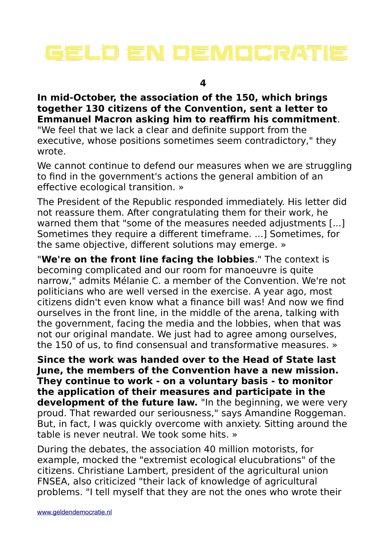

### **In mid-October, the association of the 150, which brings together 130 citizens of the Convention, sent a letter to Emmanuel Macron asking him to reaffirm his commitment**.

"We feel that we lack a clear and definite support from the executive, whose positions sometimes seem contradictory," they wrote.

We cannot continue to defend our measures when we are struggling to find in the government's actions the general ambition of an effective ecological transition. »

The President of the Republic responded immediately. His letter did not reassure them. After congratulating them for their work, he warned them that "some of the measures needed adjustments [...] Sometimes they require a different timeframe. ...] Sometimes, for the same objective, different solutions may emerge. »

"**We're on the front line facing the lobbies**." The context is becoming complicated and our room for manoeuvre is quite narrow," admits Mélanie C. a member of the Convention. We're not politicians who are well versed in the exercise. A year ago, most citizens didn't even know what a finance bill was! And now we find ourselves in the front line, in the middle of the arena, talking with the government, facing the media and the lobbies, when that was not our original mandate. We just had to agree among ourselves, the 150 of us, to find consensual and transformative measures. »

**Since the work was handed over to the Head of State last June, the members of the Convention have a new mission. They continue to work - on a voluntary basis - to monitor the application of their measures and participate in the**  development of the future law. "In the beginning, we were very proud. That rewarded our seriousness," says Amandine Roggeman. But, in fact, I was quickly overcome with anxiety. Sitting around the table is never neutral. We took some hits. »

During the debates, the association 40 million motorists, for example, mocked the "extremist ecological elucubrations" of the citizens. Christiane Lambert, president of the agricultural union FNSEA, also criticized "their lack of knowledge of agricultural problems. "I tell myself that they are not the ones who wrote their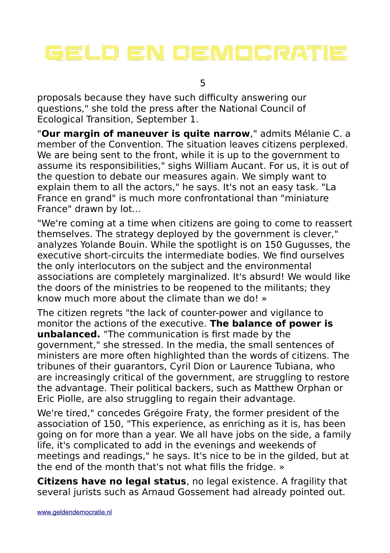# GEUD EN DEMOCRATIE

5

proposals because they have such difficulty answering our questions," she told the press after the National Council of Ecological Transition, September 1.

"**Our margin of maneuver is quite narrow**," admits Mélanie C. a member of the Convention. The situation leaves citizens perplexed. We are being sent to the front, while it is up to the government to assume its responsibilities," sighs William Aucant. For us, it is out of the question to debate our measures again. We simply want to explain them to all the actors," he says. It's not an easy task. "La France en grand" is much more confrontational than "miniature France" drawn by lot...

"We're coming at a time when citizens are going to come to reassert themselves. The strategy deployed by the government is clever," analyzes Yolande Bouin. While the spotlight is on 150 Gugusses, the executive short-circuits the intermediate bodies. We find ourselves the only interlocutors on the subject and the environmental associations are completely marginalized. It's absurd! We would like the doors of the ministries to be reopened to the militants; they know much more about the climate than we do! »

The citizen regrets "the lack of counter-power and vigilance to monitor the actions of the executive. **The balance of power is unbalanced.** "The communication is first made by the government," she stressed. In the media, the small sentences of ministers are more often highlighted than the words of citizens. The tribunes of their guarantors, Cyril Dion or Laurence Tubiana, who are increasingly critical of the government, are struggling to restore the advantage. Their political backers, such as Matthew Orphan or Eric Piolle, are also struggling to regain their advantage.

We're tired," concedes Grégoire Fraty, the former president of the association of 150, "This experience, as enriching as it is, has been going on for more than a year. We all have jobs on the side, a family life, it's complicated to add in the evenings and weekends of meetings and readings," he says. It's nice to be in the gilded, but at the end of the month that's not what fills the fridge. »

**Citizens have no legal status**, no legal existence. A fragility that several jurists such as Arnaud Gossement had already pointed out.